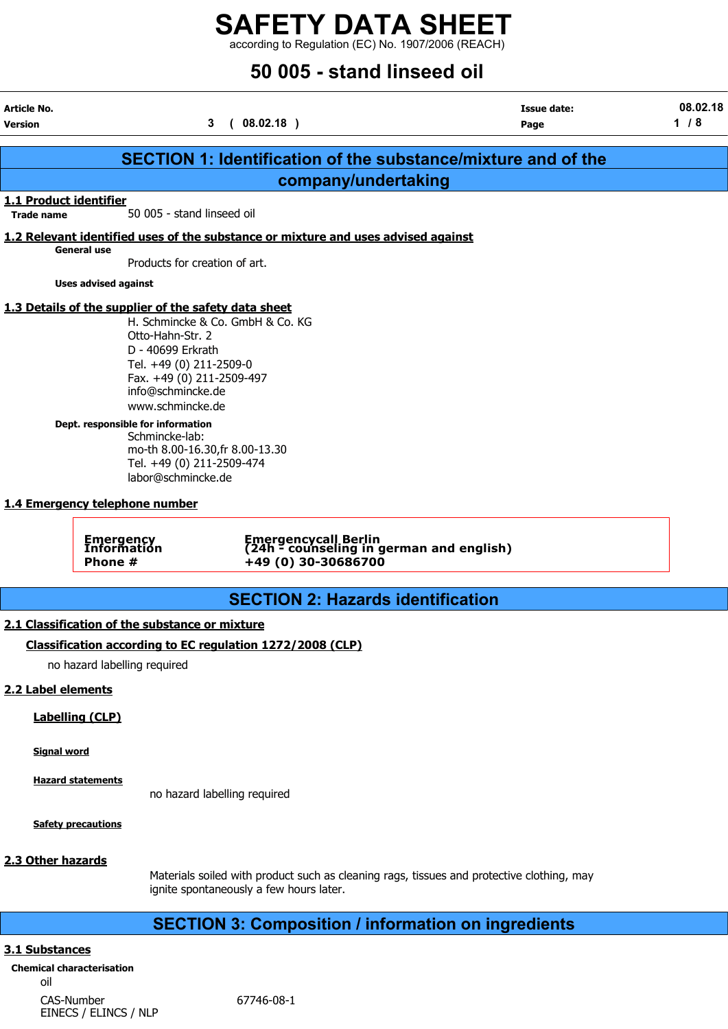according to Regulation (EC) No. 1907/2006 (REACH)

## 50 005 - stand linseed oil

| Article No.<br><b>Version</b>               |                                                                                                                                                                                                                                                                                                          | 3<br>(08.02.18)                                                                   | <b>Issue date:</b><br>Page                                           | 08.02.18<br>$1/8$ |
|---------------------------------------------|----------------------------------------------------------------------------------------------------------------------------------------------------------------------------------------------------------------------------------------------------------------------------------------------------------|-----------------------------------------------------------------------------------|----------------------------------------------------------------------|-------------------|
|                                             |                                                                                                                                                                                                                                                                                                          |                                                                                   | <b>SECTION 1: Identification of the substance/mixture and of the</b> |                   |
|                                             |                                                                                                                                                                                                                                                                                                          |                                                                                   | company/undertaking                                                  |                   |
| 1.1 Product identifier<br><b>Trade name</b> | 50 005 - stand linseed oil                                                                                                                                                                                                                                                                               |                                                                                   |                                                                      |                   |
|                                             |                                                                                                                                                                                                                                                                                                          | 1.2 Relevant identified uses of the substance or mixture and uses advised against |                                                                      |                   |
|                                             | <b>General use</b><br>Products for creation of art.                                                                                                                                                                                                                                                      |                                                                                   |                                                                      |                   |
|                                             | <b>Uses advised against</b>                                                                                                                                                                                                                                                                              |                                                                                   |                                                                      |                   |
|                                             | 1.3 Details of the supplier of the safety data sheet<br>Otto-Hahn-Str. 2<br>D - 40699 Erkrath<br>Tel. +49 (0) 211-2509-0<br>Fax. +49 (0) 211-2509-497<br>info@schmincke.de<br>www.schmincke.de<br>Dept. responsible for information<br>Schmincke-lab:<br>Tel. +49 (0) 211-2509-474<br>labor@schmincke.de | H. Schmincke & Co. GmbH & Co. KG<br>mo-th 8.00-16.30, fr 8.00-13.30               |                                                                      |                   |
|                                             | 1.4 Emergency telephone number<br><b>Emergency<br/>Information</b><br>Phone #                                                                                                                                                                                                                            | +49 (0) 30-30686700                                                               | Emergencycall Berlin<br>(24h - counseling in german and english)     |                   |
|                                             |                                                                                                                                                                                                                                                                                                          |                                                                                   | <b>SECTION 2: Hazards identification</b>                             |                   |
|                                             | 2.1 Classification of the substance or mixture                                                                                                                                                                                                                                                           |                                                                                   |                                                                      |                   |
|                                             |                                                                                                                                                                                                                                                                                                          | Classification according to EC regulation 1272/2008 (CLP)                         |                                                                      |                   |
|                                             | no hazard labelling required                                                                                                                                                                                                                                                                             |                                                                                   |                                                                      |                   |
| 2.2 Label elements                          |                                                                                                                                                                                                                                                                                                          |                                                                                   |                                                                      |                   |
|                                             | <b>Labelling (CLP)</b>                                                                                                                                                                                                                                                                                   |                                                                                   |                                                                      |                   |
| <b>Signal word</b>                          |                                                                                                                                                                                                                                                                                                          |                                                                                   |                                                                      |                   |

Hazard statements

no hazard labelling required

Safety precautions

#### 2.3 Other hazards

Materials soiled with product such as cleaning rags, tissues and protective clothing, may ignite spontaneously a few hours later.

## SECTION 3: Composition / information on ingredients

#### 3.1 Substances

Chemical characterisation oil CAS-Number 67746-08-1 EINECS / ELINCS / NLP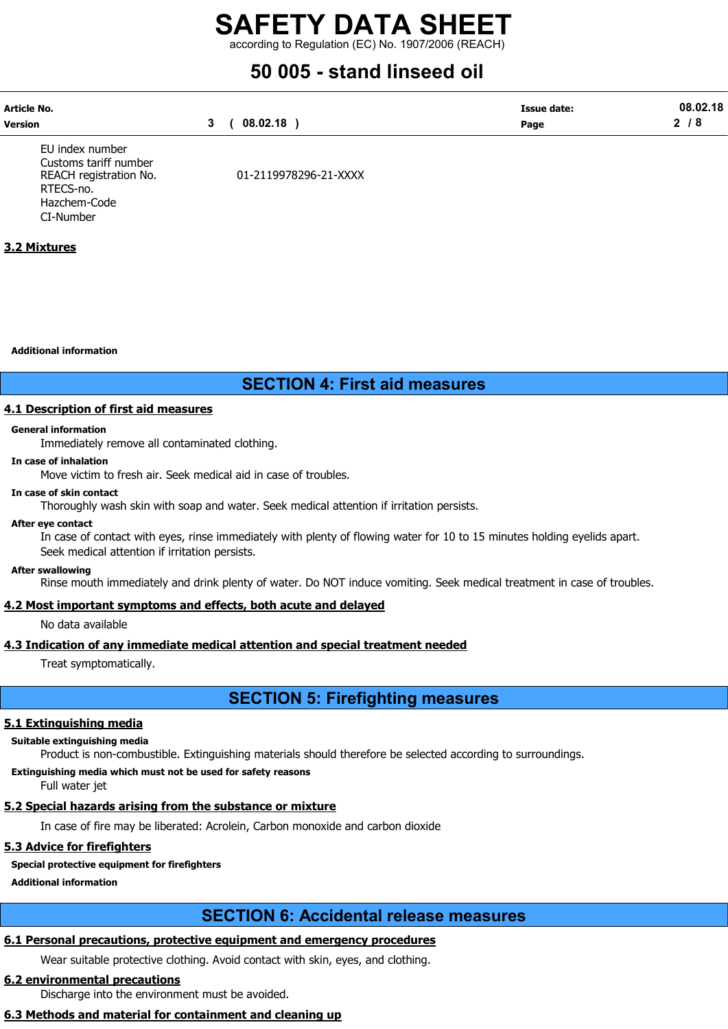according to Regulation (EC) No. 1907/2006 (REACH)

# 50 005 - stand linseed oil

| <b>Article No.</b> |          | Issue date: | 08.02.18 |
|--------------------|----------|-------------|----------|
| <b>Version</b>     | 08.02.18 | Page        |          |
|                    |          |             |          |

EU index number Customs tariff number RTECS-no. Hazchem-Code CI-Number

REACH registration No. 01-2119978296-21-XXXX

#### 3.2 Mixtures

Additional information

## SECTION 4: First aid measures

#### 4.1 Description of first aid measures

#### General information

Immediately remove all contaminated clothing.

#### In case of inhalation

Move victim to fresh air. Seek medical aid in case of troubles.

#### In case of skin contact

Thoroughly wash skin with soap and water. Seek medical attention if irritation persists.

#### After eye contact

In case of contact with eyes, rinse immediately with plenty of flowing water for 10 to 15 minutes holding eyelids apart. Seek medical attention if irritation persists.

#### After swallowing

Rinse mouth immediately and drink plenty of water. Do NOT induce vomiting. Seek medical treatment in case of troubles.

#### 4.2 Most important symptoms and effects, both acute and delayed

No data available

## 4.3 Indication of any immediate medical attention and special treatment needed

Treat symptomatically.

## SECTION 5: Firefighting measures

## 5.1 Extinguishing media

#### Suitable extinguishing media

Product is non-combustible. Extinguishing materials should therefore be selected according to surroundings.

## Extinguishing media which must not be used for safety reasons

Full water jet

## 5.2 Special hazards arising from the substance or mixture

In case of fire may be liberated: Acrolein, Carbon monoxide and carbon dioxide

## 5.3 Advice for firefighters

## Special protective equipment for firefighters

Additional information

## SECTION 6: Accidental release measures

## 6.1 Personal precautions, protective equipment and emergency procedures

Wear suitable protective clothing. Avoid contact with skin, eyes, and clothing.

## 6.2 environmental precautions

Discharge into the environment must be avoided.

## 6.3 Methods and material for containment and cleaning up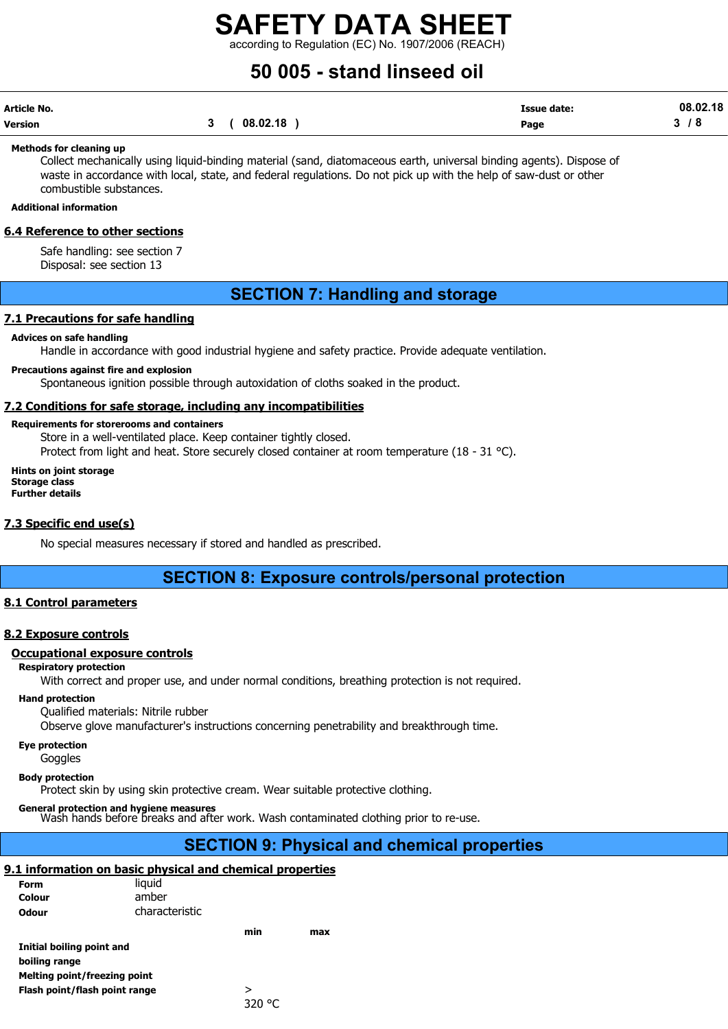according to Regulation (EC) No. 1907/2006 (REACH)

## 50 005 - stand linseed oil

| Article No. |             | <b>Issue date:</b> | 08.02.18 |
|-------------|-------------|--------------------|----------|
| Version     | 3(08.02.18) | Page               | 3/8      |

#### Methods for cleaning up

Collect mechanically using liquid-binding material (sand, diatomaceous earth, universal binding agents). Dispose of waste in accordance with local, state, and federal regulations. Do not pick up with the help of saw-dust or other combustible substances.

#### Additional information

#### 6.4 Reference to other sections

Safe handling: see section 7 Disposal: see section 13

## SECTION 7: Handling and storage

#### 7.1 Precautions for safe handling

#### Advices on safe handling

Handle in accordance with good industrial hygiene and safety practice. Provide adequate ventilation.

#### Precautions against fire and explosion

Spontaneous ignition possible through autoxidation of cloths soaked in the product.

#### 7.2 Conditions for safe storage, including any incompatibilities

#### Requirements for storerooms and containers

Store in a well-ventilated place. Keep container tightly closed.

Protect from light and heat. Store securely closed container at room temperature (18 - 31 °C).

Hints on joint storage Storage class Further details

#### 7.3 Specific end use(s)

No special measures necessary if stored and handled as prescribed.

## SECTION 8: Exposure controls/personal protection

#### 8.1 Control parameters

#### 8.2 Exposure controls

#### Occupational exposure controls

#### Respiratory protection

With correct and proper use, and under normal conditions, breathing protection is not required.

#### Hand protection

Qualified materials: Nitrile rubber

Observe glove manufacturer's instructions concerning penetrability and breakthrough time.

#### Eye protection

Goggles

#### Body protection

Protect skin by using skin protective cream. Wear suitable protective clothing.

General protection and hygiene measures<br>Wash hands before breaks and after work. Wash contaminated clothing prior to re-use.

## SECTION 9: Physical and chemical properties

#### 9.1 information on basic physical and chemical properties

|                               | .              |     | .   |
|-------------------------------|----------------|-----|-----|
| Form                          | liguid         |     |     |
| Colour                        | amber          |     |     |
| Odour                         | characteristic |     |     |
|                               |                | min | max |
| Initial boiling point and     |                |     |     |
| boiling range                 |                |     |     |
| Melting point/freezing point  |                |     |     |
| Flash point/flash point range |                | >   |     |
|                               |                |     |     |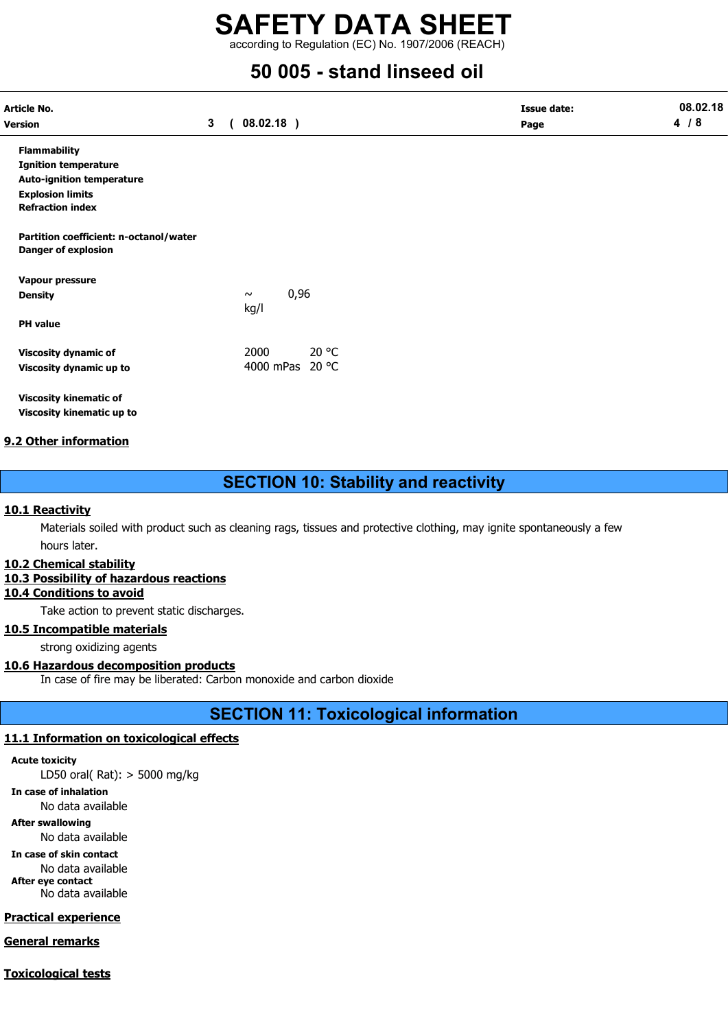according to Regulation (EC) No. 1907/2006 (REACH)

## 50 005 - stand linseed oil

| Article No.<br>Version                                               | 3 <sup>1</sup> | 08.02.18)              | <b>Issue date:</b><br>Page | 08.02.18<br>4/8 |
|----------------------------------------------------------------------|----------------|------------------------|----------------------------|-----------------|
| <b>Flammability</b>                                                  |                |                        |                            |                 |
| <b>Ignition temperature</b>                                          |                |                        |                            |                 |
| <b>Auto-ignition temperature</b>                                     |                |                        |                            |                 |
| <b>Explosion limits</b>                                              |                |                        |                            |                 |
| <b>Refraction index</b>                                              |                |                        |                            |                 |
| Partition coefficient: n-octanol/water<br><b>Danger of explosion</b> |                |                        |                            |                 |
| Vapour pressure                                                      |                |                        |                            |                 |
| <b>Density</b>                                                       |                | 0,96<br>$\sim$<br>kg/l |                            |                 |
| <b>PH</b> value                                                      |                |                        |                            |                 |
| <b>Viscosity dynamic of</b>                                          |                | 20 °C<br>2000          |                            |                 |
| Viscosity dynamic up to                                              |                | 4000 mPas 20 °C        |                            |                 |

Viscosity kinematic of Viscosity kinematic up to

#### 9.2 Other information

## SECTION 10: Stability and reactivity

#### 10.1 Reactivity

Materials soiled with product such as cleaning rags, tissues and protective clothing, may ignite spontaneously a few hours later.

#### 10.2 Chemical stability

#### 10.3 Possibility of hazardous reactions

10.4 Conditions to avoid

Take action to prevent static discharges.

#### 10.5 Incompatible materials

strong oxidizing agents

#### 10.6 Hazardous decomposition products

In case of fire may be liberated: Carbon monoxide and carbon dioxide

## SECTION 11: Toxicological information

#### 11.1 Information on toxicological effects

Acute toxicity

LD50 oral( Rat): > 5000 mg/kg

In case of inhalation

No data available

## After swallowing

No data available

In case of skin contact No data available After eye contact

No data available

## Practical experience

## General remarks

Toxicological tests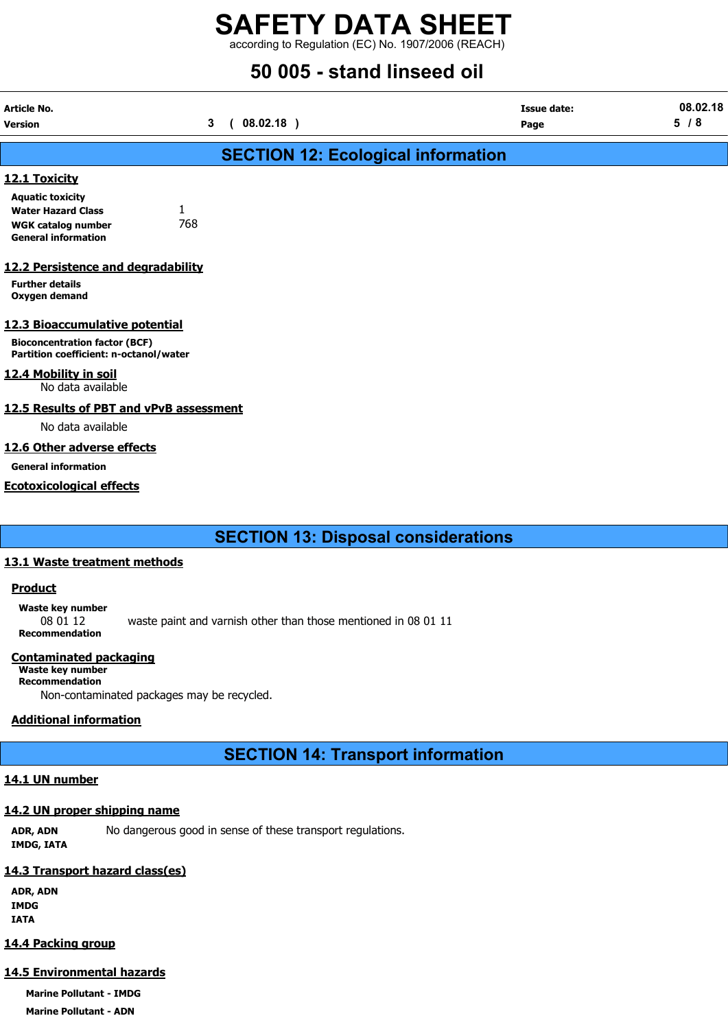according to Regulation (EC) No. 1907/2006 (REACH)

## 50 005 - stand linseed oil

| Article No.                                                                    |                |            |                                           | <b>Issue date:</b> | 08.02.18 |
|--------------------------------------------------------------------------------|----------------|------------|-------------------------------------------|--------------------|----------|
| Version                                                                        | 3 <sup>1</sup> | (08.02.18) |                                           | Page               | 5/8      |
|                                                                                |                |            | <b>SECTION 12: Ecological information</b> |                    |          |
| 12.1 Toxicity                                                                  |                |            |                                           |                    |          |
| <b>Aquatic toxicity</b><br>1<br><b>Water Hazard Class</b>                      |                |            |                                           |                    |          |
| <b>WGK catalog number</b><br><b>General information</b>                        | 768            |            |                                           |                    |          |
| 12.2 Persistence and degradability                                             |                |            |                                           |                    |          |
| <b>Further details</b><br>Oxygen demand                                        |                |            |                                           |                    |          |
| 12.3 Bioaccumulative potential                                                 |                |            |                                           |                    |          |
| <b>Bioconcentration factor (BCF)</b><br>Partition coefficient: n-octanol/water |                |            |                                           |                    |          |
| 12.4 Mobility in soil<br>No data available                                     |                |            |                                           |                    |          |
| 12.5 Results of PBT and vPvB assessment                                        |                |            |                                           |                    |          |
| No data available                                                              |                |            |                                           |                    |          |
| 12.6 Other adverse effects                                                     |                |            |                                           |                    |          |
| <b>General information</b>                                                     |                |            |                                           |                    |          |
| <b>Ecotoxicological effects</b>                                                |                |            |                                           |                    |          |
|                                                                                |                |            |                                           |                    |          |
|                                                                                |                |            |                                           |                    |          |

SECTION 13: Disposal considerations

#### 13.1 Waste treatment methods

#### **Product**

Waste key number 08 01 12 waste paint and varnish other than those mentioned in 08 01 11 Recommendation

#### Contaminated packaging

Waste key number Recommendation Non-contaminated packages may be recycled.

#### Additional information

SECTION 14: Transport information

#### 14.1 UN number

#### 14.2 UN proper shipping name

ADR, ADN No dangerous good in sense of these transport regulations. IMDG, IATA

### 14.3 Transport hazard class(es)

ADR, ADN IMDG IATA

#### 14.4 Packing group

#### 14.5 Environmental hazards

Marine Pollutant - IMDG Marine Pollutant - ADN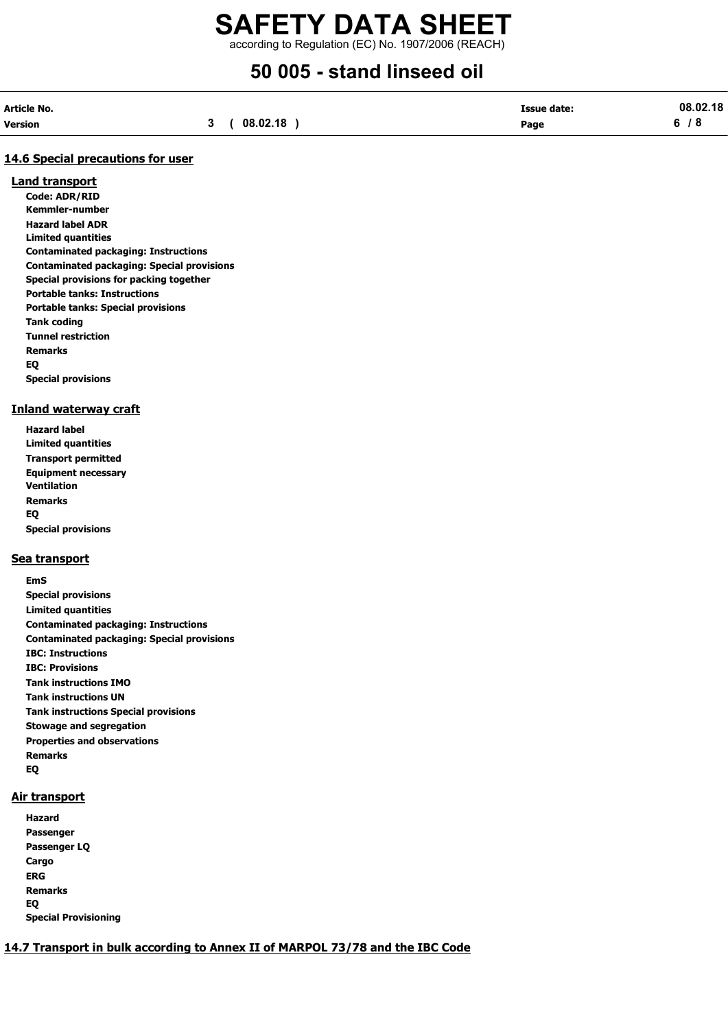according to Regulation (EC) No. 1907/2006 (REACH)

## 50 005 - stand linseed oil

| Article No. |             | <b>Issue date:</b> | 08.02.18 |
|-------------|-------------|--------------------|----------|
| Version     | 3(08.02.18) | Page               | 6/8      |

#### 14.6 Special precautions for user

#### Land transport

Code: ADR/RID Kemmler-number Hazard label ADR Limited quantities Contaminated packaging: Instructions Contaminated packaging: Special provisions Special provisions for packing together Portable tanks: Instructions Portable tanks: Special provisions Tank coding Tunnel restriction Remarks EQ Special provisions

#### Inland waterway craft

Hazard label Limited quantities Transport permitted Equipment necessary Ventilation Remarks EQ Special provisions

#### Sea transport

EmS Special provisions Limited quantities Contaminated packaging: Instructions Contaminated packaging: Special provisions IBC: Instructions IBC: Provisions Tank instructions IMO Tank instructions UN Tank instructions Special provisions Stowage and segregation Properties and observations Remarks EQ

#### Air transport

Hazard Passenger Passenger LQ Cargo ERG Remarks EQ Special Provisioning

#### 14.7 Transport in bulk according to Annex II of MARPOL 73/78 and the IBC Code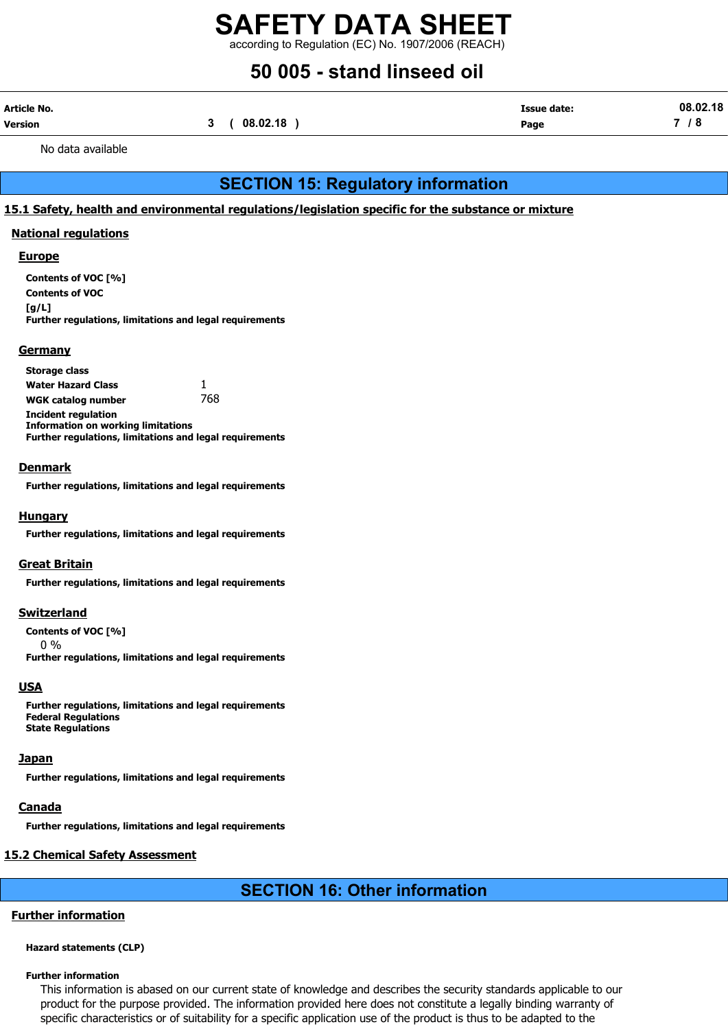according to Regulation (EC) No. 1907/2006 (REACH)

## 50 005 - stand linseed oil

| Article No. |             | <b>Issue date:</b> | 08.02.18 |
|-------------|-------------|--------------------|----------|
| Version     | 3(08.02.18) | Page               | 7 / 8    |

No data available

## SECTION 15: Regulatory information

#### 15.1 Safety, health and environmental regulations/legislation specific for the substance or mixture

#### National regulations

#### **Europe**

Contents of VOC [%] Contents of VOC [g/L] Further regulations, limitations and legal requirements

#### **Germany**

Storage class Water Hazard Class  $1$ WGK catalog number 768 Incident regulation Information on working limitations Further regulations, limitations and legal requirements

#### **Denmark**

Further regulations, limitations and legal requirements

#### Hungary

Further regulations, limitations and legal requirements

#### Great Britain

Further regulations, limitations and legal requirements

#### **Switzerland**

Contents of VOC [%]

0 %

Further regulations, limitations and legal requirements

#### **USA**

Further regulations, limitations and legal requirements Federal Regulations State Regulations

#### Japan

Further regulations, limitations and legal requirements

#### <u>Canada</u>

Further regulations, limitations and legal requirements

#### 15.2 Chemical Safety Assessment

## SECTION 16: Other information

#### Further information

#### Hazard statements (CLP)

#### Further information

This information is abased on our current state of knowledge and describes the security standards applicable to our product for the purpose provided. The information provided here does not constitute a legally binding warranty of specific characteristics or of suitability for a specific application use of the product is thus to be adapted to the